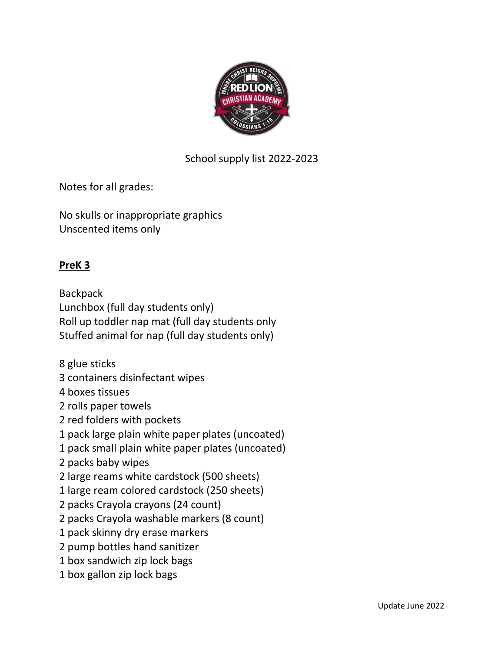

School supply list 2022-2023

Notes for all grades:

No skulls or inappropriate graphics Unscented items only

### **PreK 3**

**Backpack** Lunchbox (full day students only) Roll up toddler nap mat (full day students only Stuffed animal for nap (full day students only)

8 glue sticks

- 3 containers disinfectant wipes
- 4 boxes tissues
- 2 rolls paper towels
- 2 red folders with pockets
- 1 pack large plain white paper plates (uncoated)
- 1 pack small plain white paper plates (uncoated)
- 2 packs baby wipes
- 2 large reams white cardstock (500 sheets)
- 1 large ream colored cardstock (250 sheets)
- 2 packs Crayola crayons (24 count)
- 2 packs Crayola washable markers (8 count)
- 1 pack skinny dry erase markers
- 2 pump bottles hand sanitizer
- 1 box sandwich zip lock bags
- 1 box gallon zip lock bags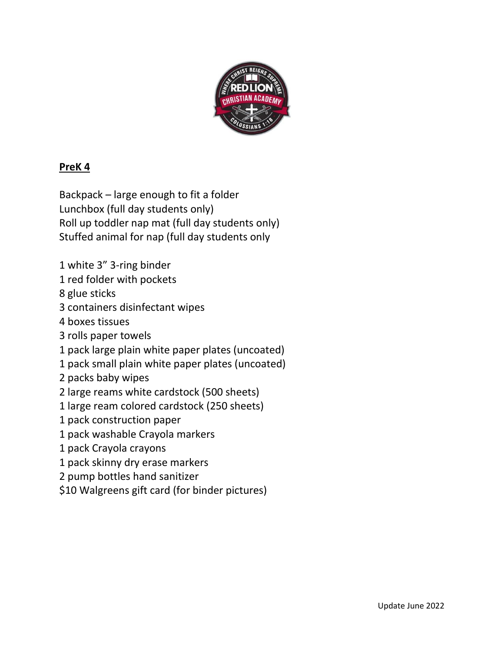

# **PreK 4**

Backpack – large enough to fit a folder Lunchbox (full day students only) Roll up toddler nap mat (full day students only) Stuffed animal for nap (full day students only

1 white 3" 3-ring binder

1 red folder with pockets

8 glue sticks

- 3 containers disinfectant wipes
- 4 boxes tissues
- 3 rolls paper towels
- 1 pack large plain white paper plates (uncoated)
- 1 pack small plain white paper plates (uncoated)
- 2 packs baby wipes
- 2 large reams white cardstock (500 sheets)
- 1 large ream colored cardstock (250 sheets)
- 1 pack construction paper
- 1 pack washable Crayola markers
- 1 pack Crayola crayons
- 1 pack skinny dry erase markers
- 2 pump bottles hand sanitizer
- \$10 Walgreens gift card (for binder pictures)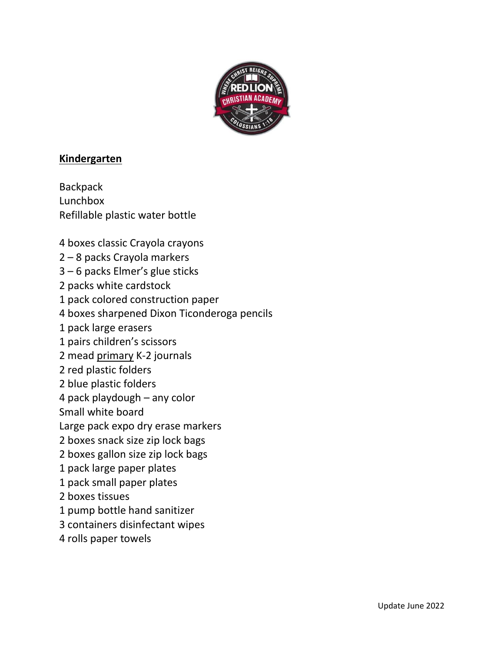

#### **Kindergarten**

**Backpack** Lunchbox Refillable plastic water bottle

- 4 boxes classic Crayola crayons
- 2 8 packs Crayola markers
- 3 6 packs Elmer's glue sticks
- 2 packs white cardstock
- 1 pack colored construction paper
- 4 boxes sharpened Dixon Ticonderoga pencils
- 1 pack large erasers
- 1 pairs children's scissors
- 2 mead primary K-2 journals
- 2 red plastic folders
- 2 blue plastic folders
- 4 pack playdough any color
- Small white board
- Large pack expo dry erase markers
- 2 boxes snack size zip lock bags
- 2 boxes gallon size zip lock bags
- 1 pack large paper plates
- 1 pack small paper plates
- 2 boxes tissues
- 1 pump bottle hand sanitizer
- 3 containers disinfectant wipes
- 4 rolls paper towels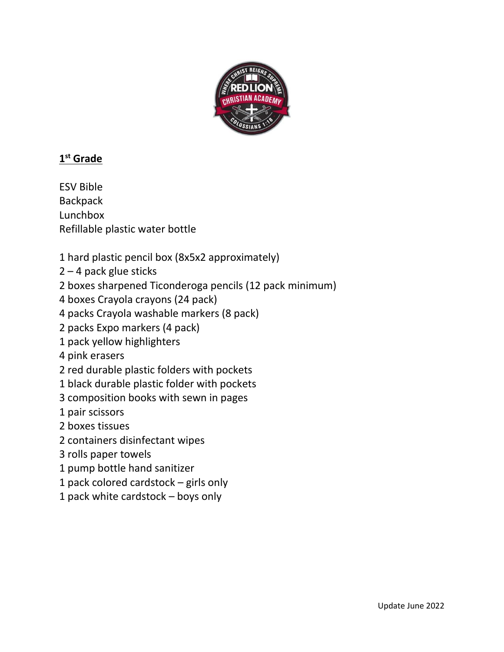

## **1 st Grade**

ESV Bible **Backpack** Lunchbox Refillable plastic water bottle

- 1 hard plastic pencil box (8x5x2 approximately)
- 2 4 pack glue sticks
- 2 boxes sharpened Ticonderoga pencils (12 pack minimum)
- 4 boxes Crayola crayons (24 pack)
- 4 packs Crayola washable markers (8 pack)
- 2 packs Expo markers (4 pack)
- 1 pack yellow highlighters
- 4 pink erasers
- 2 red durable plastic folders with pockets
- 1 black durable plastic folder with pockets
- 3 composition books with sewn in pages
- 1 pair scissors
- 2 boxes tissues
- 2 containers disinfectant wipes
- 3 rolls paper towels
- 1 pump bottle hand sanitizer
- 1 pack colored cardstock girls only
- 1 pack white cardstock boys only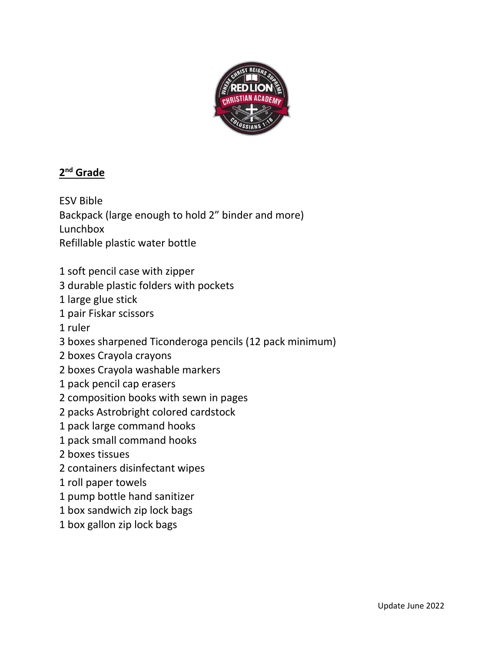

### **2 nd Grade**

ESV Bible Backpack (large enough to hold 2" binder and more) Lunchbox Refillable plastic water bottle

- 1 soft pencil case with zipper
- 3 durable plastic folders with pockets
- 1 large glue stick
- 1 pair Fiskar scissors
- 1 ruler
- 3 boxes sharpened Ticonderoga pencils (12 pack minimum)
- 2 boxes Crayola crayons
- 2 boxes Crayola washable markers
- 1 pack pencil cap erasers
- 2 composition books with sewn in pages
- 2 packs Astrobright colored cardstock
- 1 pack large command hooks
- 1 pack small command hooks
- 2 boxes tissues
- 2 containers disinfectant wipes
- 1 roll paper towels
- 1 pump bottle hand sanitizer
- 1 box sandwich zip lock bags
- 1 box gallon zip lock bags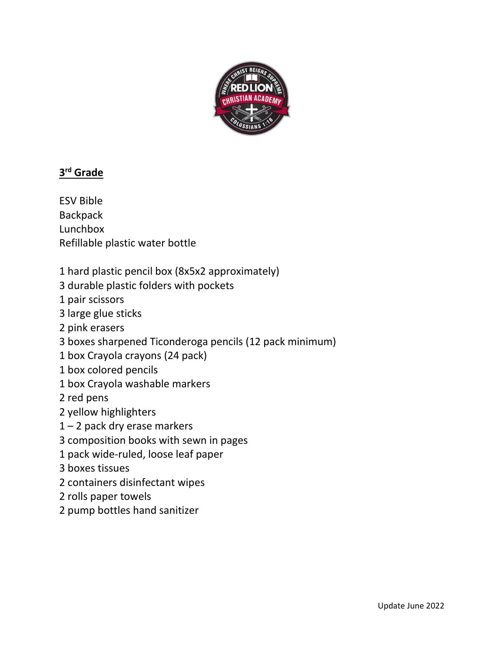

## **3 rd Grade**

ESV Bible **Backpack** Lunchbox Refillable plastic water bottle

1 hard plastic pencil box (8x5x2 approximately)

3 durable plastic folders with pockets

- 1 pair scissors
- 3 large glue sticks
- 2 pink erasers
- 3 boxes sharpened Ticonderoga pencils (12 pack minimum)
- 1 box Crayola crayons (24 pack)
- 1 box colored pencils
- 1 box Crayola washable markers

2 red pens

- 2 yellow highlighters
- 1 2 pack dry erase markers
- 3 composition books with sewn in pages
- 1 pack wide-ruled, loose leaf paper
- 3 boxes tissues
- 2 containers disinfectant wipes
- 2 rolls paper towels
- 2 pump bottles hand sanitizer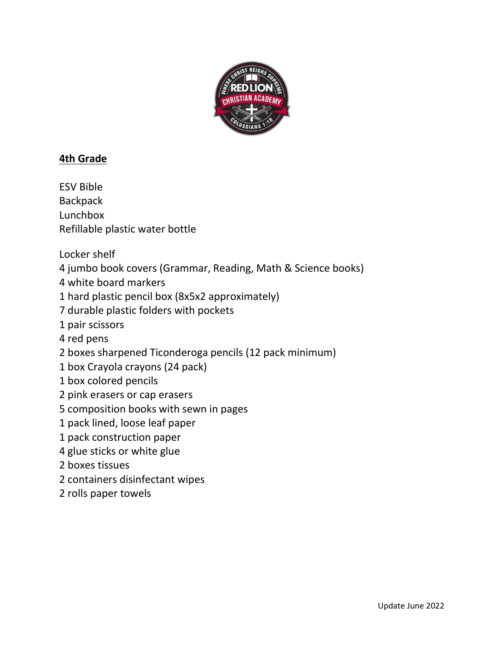

### **4th Grade**

ESV Bible **Backpack** Lunchbox Refillable plastic water bottle Locker shelf 4 jumbo book covers (Grammar, Reading, Math & Science books) 4 white board markers 1 hard plastic pencil box (8x5x2 approximately) 7 durable plastic folders with pockets 1 pair scissors 4 red pens 2 boxes sharpened Ticonderoga pencils (12 pack minimum) 1 box Crayola crayons (24 pack) 1 box colored pencils 2 pink erasers or cap erasers 5 composition books with sewn in pages 1 pack lined, loose leaf paper 1 pack construction paper 4 glue sticks or white glue 2 boxes tissues 2 containers disinfectant wipes 2 rolls paper towels